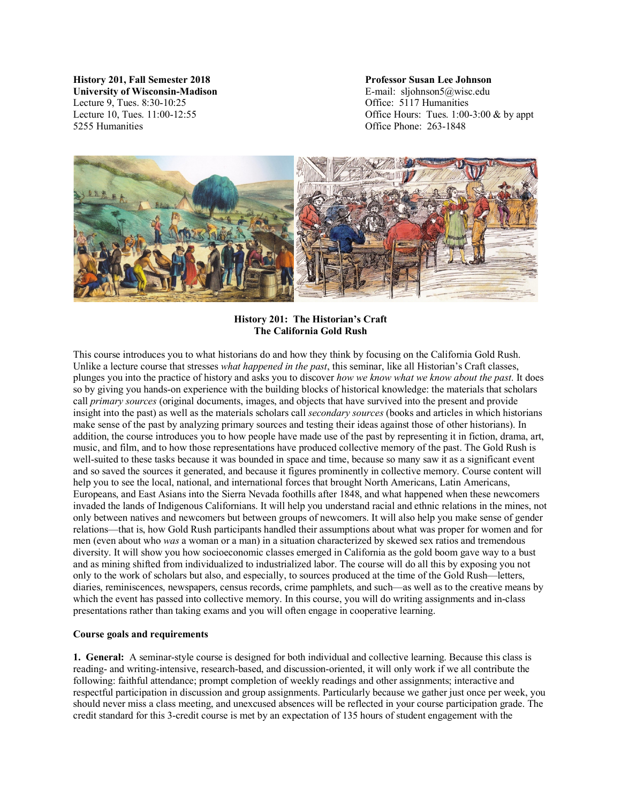**History 201, Fall Semester 2018 Professor Susan Lee Johnson University of Wisconsin-Madison** E-mail: sljohnson5@wisc.edu Lecture 9, Tues. 8:30-10:25 Office: 5117 Humanities 5255 Humanities Office Phone: 263-1848

Lecture 10, Tues. 11:00-12:55 Office Hours: Tues. 1:00-3:00 & by appt



**History 201: The Historian's Craft The California Gold Rush**

This course introduces you to what historians do and how they think by focusing on the California Gold Rush. Unlike a lecture course that stresses *what happened in the past*, this seminar, like all Historian's Craft classes, plunges you into the practice of history and asks you to discover *how we know what we know about the past*. It does so by giving you hands-on experience with the building blocks of historical knowledge: the materials that scholars call *primary sources* (original documents, images, and objects that have survived into the present and provide insight into the past) as well as the materials scholars call *secondary sources* (books and articles in which historians make sense of the past by analyzing primary sources and testing their ideas against those of other historians). In addition, the course introduces you to how people have made use of the past by representing it in fiction, drama, art, music, and film, and to how those representations have produced collective memory of the past. The Gold Rush is well-suited to these tasks because it was bounded in space and time, because so many saw it as a significant event and so saved the sources it generated, and because it figures prominently in collective memory. Course content will help you to see the local, national, and international forces that brought North Americans, Latin Americans, Europeans, and East Asians into the Sierra Nevada foothills after 1848, and what happened when these newcomers invaded the lands of Indigenous Californians. It will help you understand racial and ethnic relations in the mines, not only between natives and newcomers but between groups of newcomers. It will also help you make sense of gender relations—that is, how Gold Rush participants handled their assumptions about what was proper for women and for men (even about who *was* a woman or a man) in a situation characterized by skewed sex ratios and tremendous diversity. It will show you how socioeconomic classes emerged in California as the gold boom gave way to a bust and as mining shifted from individualized to industrialized labor. The course will do all this by exposing you not only to the work of scholars but also, and especially, to sources produced at the time of the Gold Rush—letters, diaries, reminiscences, newspapers, census records, crime pamphlets, and such—as well as to the creative means by which the event has passed into collective memory. In this course, you will do writing assignments and in-class presentations rather than taking exams and you will often engage in cooperative learning.

# **Course goals and requirements**

**1. General:** A seminar-style course is designed for both individual and collective learning. Because this class is reading- and writing-intensive, research-based, and discussion-oriented, it will only work if we all contribute the following: faithful attendance; prompt completion of weekly readings and other assignments; interactive and respectful participation in discussion and group assignments. Particularly because we gather just once per week, you should never miss a class meeting, and unexcused absences will be reflected in your course participation grade. The credit standard for this 3-credit course is met by an expectation of 135 hours of student engagement with the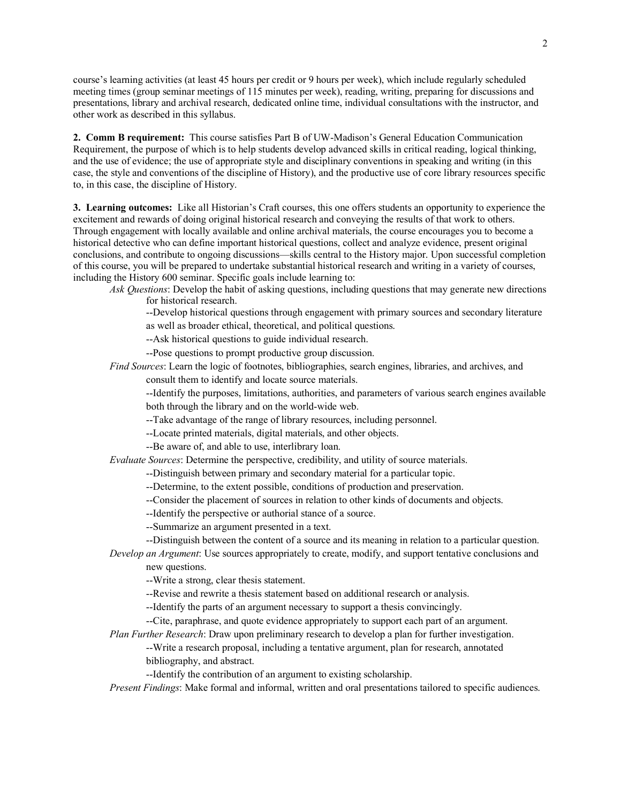course's learning activities (at least 45 hours per credit or 9 hours per week), which include regularly scheduled meeting times (group seminar meetings of 115 minutes per week), reading, writing, preparing for discussions and presentations, library and archival research, dedicated online time, individual consultations with the instructor, and other work as described in this syllabus.

**2. Comm B requirement:** This course satisfies Part B of UW-Madison's General Education Communication Requirement, the purpose of which is to help students develop advanced skills in critical reading, logical thinking, and the use of evidence; the use of appropriate style and disciplinary conventions in speaking and writing (in this case, the style and conventions of the discipline of History), and the productive use of core library resources specific to, in this case, the discipline of History.

**3. Learning outcomes:** Like all Historian's Craft courses, this one offers students an opportunity to experience the excitement and rewards of doing original historical research and conveying the results of that work to others. Through engagement with locally available and online archival materials, the course encourages you to become a historical detective who can define important historical questions, collect and analyze evidence, present original conclusions, and contribute to ongoing discussions—skills central to the History major. Upon successful completion of this course, you will be prepared to undertake substantial historical research and writing in a variety of courses, including the History 600 seminar. Specific goals include learning to:

*Ask Questions*: Develop the habit of asking questions, including questions that may generate new directions for historical research.

--Develop historical questions through engagement with primary sources and secondary literature as well as broader ethical, theoretical, and political questions.

--Ask historical questions to guide individual research.

--Pose questions to prompt productive group discussion.

*Find Sources*: Learn the logic of footnotes, bibliographies, search engines, libraries, and archives, and consult them to identify and locate source materials.

--Identify the purposes, limitations, authorities, and parameters of various search engines available both through the library and on the world-wide web.

--Take advantage of the range of library resources, including personnel.

--Locate printed materials, digital materials, and other objects.

--Be aware of, and able to use, interlibrary loan.

*Evaluate Sources*: Determine the perspective, credibility, and utility of source materials.

--Distinguish between primary and secondary material for a particular topic.

--Determine, to the extent possible, conditions of production and preservation.

--Consider the placement of sources in relation to other kinds of documents and objects.

--Identify the perspective or authorial stance of a source.

--Summarize an argument presented in a text.

--Distinguish between the content of a source and its meaning in relation to a particular question. *Develop an Argument*: Use sources appropriately to create, modify, and support tentative conclusions and

new questions.

--Write a strong, clear thesis statement.

--Revise and rewrite a thesis statement based on additional research or analysis.

--Identify the parts of an argument necessary to support a thesis convincingly.

--Cite, paraphrase, and quote evidence appropriately to support each part of an argument.

*Plan Further Research*: Draw upon preliminary research to develop a plan for further investigation.

--Write a research proposal, including a tentative argument, plan for research, annotated bibliography, and abstract.

--Identify the contribution of an argument to existing scholarship.

*Present Findings*: Make formal and informal, written and oral presentations tailored to specific audiences.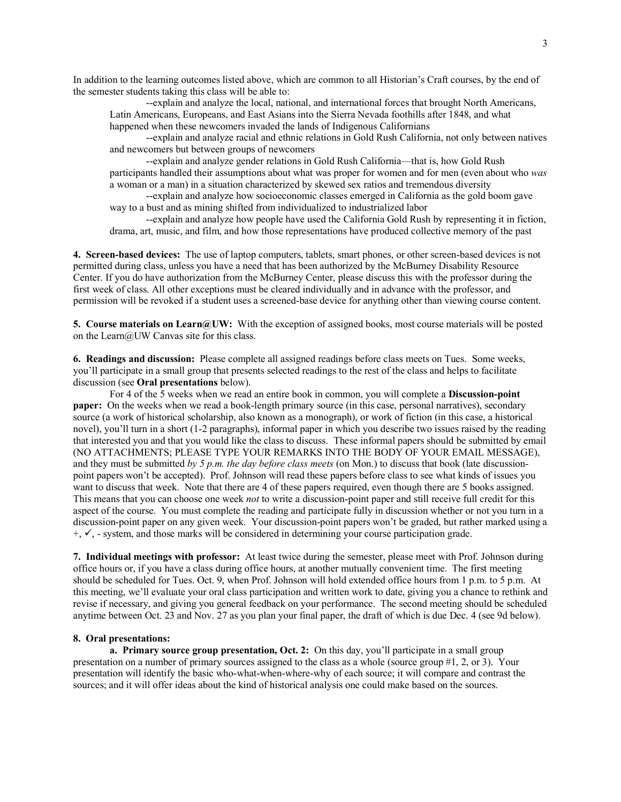In addition to the learning outcomes listed above, which are common to all Historian's Craft courses, by the end of the semester students taking this class will be able to:

--explain and analyze the local, national, and international forces that brought North Americans, Latin Americans, Europeans, and East Asians into the Sierra Nevada foothills after 1848, and what happened when these newcomers invaded the lands of Indigenous Californians

--explain and analyze racial and ethnic relations in Gold Rush California, not only between natives and newcomers but between groups of newcomers

--explain and analyze gender relations in Gold Rush California—that is, how Gold Rush participants handled their assumptions about what was proper for women and for men (even about who *was* a woman or a man) in a situation characterized by skewed sex ratios and tremendous diversity

--explain and analyze how socioeconomic classes emerged in California as the gold boom gave way to a bust and as mining shifted from individualized to industrialized labor

--explain and analyze how people have used the California Gold Rush by representing it in fiction, drama, art, music, and film, and how those representations have produced collective memory of the past

**4. Screen-based devices:** The use of laptop computers, tablets, smart phones, or other screen-based devices is not permitted during class, unless you have a need that has been authorized by the McBurney Disability Resource Center. If you do have authorization from the McBurney Center, please discuss this with the professor during the first week of class. All other exceptions must be cleared individually and in advance with the professor, and permission will be revoked if a student uses a screened-base device for anything other than viewing course content.

**5. Course materials on Learn@UW:** With the exception of assigned books, most course materials will be posted on the Learn@UW Canvas site for this class.

**6. Readings and discussion:** Please complete all assigned readings before class meets on Tues. Some weeks, you'll participate in a small group that presents selected readings to the rest of the class and helps to facilitate discussion (see **Oral presentations** below).

For 4 of the 5 weeks when we read an entire book in common, you will complete a **Discussion-point paper:** On the weeks when we read a book-length primary source (in this case, personal narratives), secondary source (a work of historical scholarship, also known as a monograph), or work of fiction (in this case, a historical novel), you'll turn in a short (1-2 paragraphs), informal paper in which you describe two issues raised by the reading that interested you and that you would like the class to discuss. These informal papers should be submitted by email (NO ATTACHMENTS; PLEASE TYPE YOUR REMARKS INTO THE BODY OF YOUR EMAIL MESSAGE), and they must be submitted *by 5 p.m. the day before class meets* (on Mon.) to discuss that book (late discussionpoint papers won't be accepted). Prof. Johnson will read these papers before class to see what kinds of issues you want to discuss that week. Note that there are 4 of these papers required, even though there are 5 books assigned. This means that you can choose one week *not* to write a discussion-point paper and still receive full credit for this aspect of the course. You must complete the reading and participate fully in discussion whether or not you turn in a discussion-point paper on any given week. Your discussion-point papers won't be graded, but rather marked using a  $+, \checkmark$ , - system, and those marks will be considered in determining your course participation grade.

**7. Individual meetings with professor:** At least twice during the semester, please meet with Prof. Johnson during office hours or, if you have a class during office hours, at another mutually convenient time. The first meeting should be scheduled for Tues. Oct. 9, when Prof. Johnson will hold extended office hours from 1 p.m. to 5 p.m. At this meeting, we'll evaluate your oral class participation and written work to date, giving you a chance to rethink and revise if necessary, and giving you general feedback on your performance. The second meeting should be scheduled anytime between Oct. 23 and Nov. 27 as you plan your final paper, the draft of which is due Dec. 4 (see 9d below).

#### **8. Oral presentations:**

**a. Primary source group presentation, Oct. 2:** On this day, you'll participate in a small group presentation on a number of primary sources assigned to the class as a whole (source group #1, 2, or 3). Your presentation will identify the basic who-what-when-where-why of each source; it will compare and contrast the sources; and it will offer ideas about the kind of historical analysis one could make based on the sources.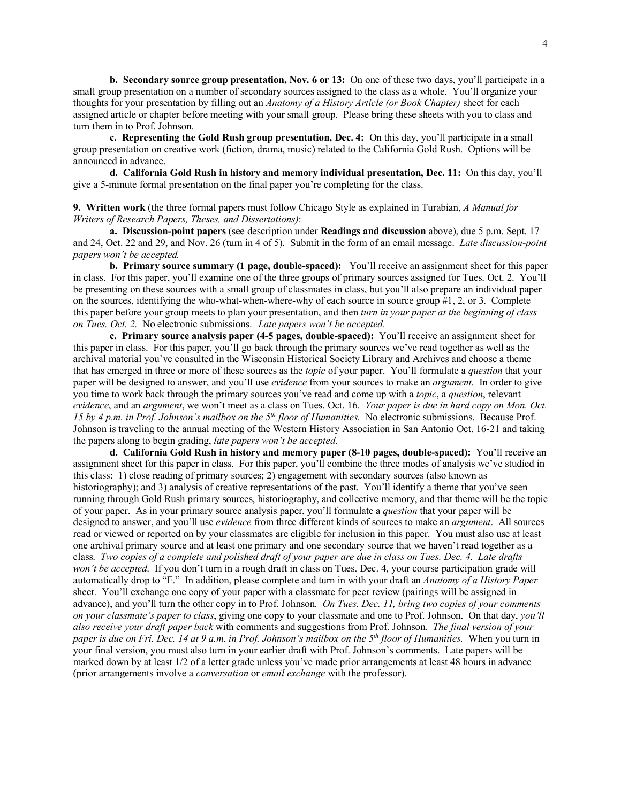**b. Secondary source group presentation, Nov. 6 or 13:** On one of these two days, you'll participate in a small group presentation on a number of secondary sources assigned to the class as a whole. You'll organize your thoughts for your presentation by filling out an *Anatomy of a History Article (or Book Chapter)* sheet for each assigned article or chapter before meeting with your small group. Please bring these sheets with you to class and turn them in to Prof. Johnson.

**c. Representing the Gold Rush group presentation, Dec. 4:** On this day, you'll participate in a small group presentation on creative work (fiction, drama, music) related to the California Gold Rush. Options will be announced in advance.

**d. California Gold Rush in history and memory individual presentation, Dec. 11:** On this day, you'll give a 5-minute formal presentation on the final paper you're completing for the class.

**9. Written work** (the three formal papers must follow Chicago Style as explained in Turabian, *A Manual for Writers of Research Papers, Theses, and Dissertations)*:

**a. Discussion-point papers** (see description under **Readings and discussion** above), due 5 p.m. Sept. 17 and 24, Oct. 22 and 29, and Nov. 26 (turn in 4 of 5). Submit in the form of an email message. *Late discussion-point papers won't be accepted.*

**b. Primary source summary (1 page, double-spaced):** You'll receive an assignment sheet for this paper in class. For this paper, you'll examine one of the three groups of primary sources assigned for Tues. Oct. 2. You'll be presenting on these sources with a small group of classmates in class, but you'll also prepare an individual paper on the sources, identifying the who-what-when-where-why of each source in source group #1, 2, or 3. Complete this paper before your group meets to plan your presentation, and then *turn in your paper at the beginning of class on Tues. Oct. 2.* No electronic submissions. *Late papers won't be accepted*.

**c. Primary source analysis paper (4-5 pages, double-spaced):** You'll receive an assignment sheet for this paper in class. For this paper, you'll go back through the primary sources we've read together as well as the archival material you've consulted in the Wisconsin Historical Society Library and Archives and choose a theme that has emerged in three or more of these sources as the *topic* of your paper. You'll formulate a *question* that your paper will be designed to answer, and you'll use *evidence* from your sources to make an *argument*. In order to give you time to work back through the primary sources you've read and come up with a *topic*, a *question*, relevant *evidence*, and an *argument*, we won't meet as a class on Tues. Oct. 16. *Your paper is due in hard copy on Mon. Oct. 15 by 4 p.m. in Prof. Johnson's mailbox on the 5th floor of Humanities.* No electronic submissions. Because Prof. Johnson is traveling to the annual meeting of the Western History Association in San Antonio Oct. 16-21 and taking the papers along to begin grading, *late papers won't be accepted*.

**d. California Gold Rush in history and memory paper (8-10 pages, double-spaced):** You'll receive an assignment sheet for this paper in class. For this paper, you'll combine the three modes of analysis we've studied in this class: 1) close reading of primary sources; 2) engagement with secondary sources (also known as historiography); and 3) analysis of creative representations of the past. You'll identify a theme that you've seen running through Gold Rush primary sources, historiography, and collective memory, and that theme will be the topic of your paper. As in your primary source analysis paper, you'll formulate a *question* that your paper will be designed to answer, and you'll use *evidence* from three different kinds of sources to make an *argument*. All sources read or viewed or reported on by your classmates are eligible for inclusion in this paper. You must also use at least one archival primary source and at least one primary and one secondary source that we haven't read together as a class. *Two copies of a complete and polished draft of your paper are due in class on Tues. Dec. 4. Late drafts won't be accepted*. If you don't turn in a rough draft in class on Tues. Dec. 4, your course participation grade will automatically drop to "F." In addition, please complete and turn in with your draft an *Anatomy of a History Paper* sheet. You'll exchange one copy of your paper with a classmate for peer review (pairings will be assigned in advance), and you'll turn the other copy in to Prof. Johnson*. On Tues. Dec. 11, bring two copies of your comments on your classmate's paper to class*, giving one copy to your classmate and one to Prof. Johnson. On that day, *you'll also receive your draft paper back* with comments and suggestions from Prof. Johnson. *The final version of your paper is due on Fri. Dec. 14 at 9 a.m. in Prof. Johnson's mailbox on the 5th floor of Humanities.* When you turn in your final version, you must also turn in your earlier draft with Prof. Johnson's comments. Late papers will be marked down by at least 1/2 of a letter grade unless you've made prior arrangements at least 48 hours in advance (prior arrangements involve a *conversation* or *email exchange* with the professor).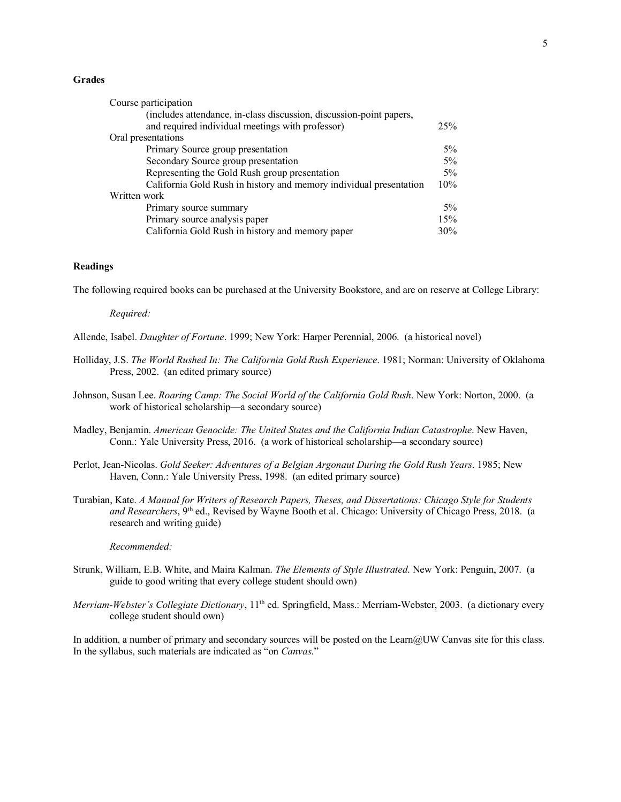#### **Grades**

| Course participation<br>(includes attendance, in-class discussion, discussion-point papers, |       |
|---------------------------------------------------------------------------------------------|-------|
| and required individual meetings with professor)                                            | 25%   |
| Oral presentations                                                                          |       |
| Primary Source group presentation                                                           | $5\%$ |
| Secondary Source group presentation                                                         | $5\%$ |
| Representing the Gold Rush group presentation                                               | $5\%$ |
| California Gold Rush in history and memory individual presentation                          | 10%   |
| Written work                                                                                |       |
| Primary source summary                                                                      | $5\%$ |
| Primary source analysis paper                                                               | 15%   |
| California Gold Rush in history and memory paper                                            | 30%   |

# **Readings**

The following required books can be purchased at the University Bookstore, and are on reserve at College Library:

#### *Required:*

Allende, Isabel. *Daughter of Fortune*. 1999; New York: Harper Perennial, 2006. (a historical novel)

- Holliday, J.S. *The World Rushed In: The California Gold Rush Experience*. 1981; Norman: University of Oklahoma Press, 2002. (an edited primary source)
- Johnson, Susan Lee. *Roaring Camp: The Social World of the California Gold Rush*. New York: Norton, 2000. (a work of historical scholarship—a secondary source)
- Madley, Benjamin. *American Genocide: The United States and the California Indian Catastrophe*. New Haven, Conn.: Yale University Press, 2016. (a work of historical scholarship—a secondary source)
- Perlot, Jean-Nicolas. *Gold Seeker: Adventures of a Belgian Argonaut During the Gold Rush Years*. 1985; New Haven, Conn.: Yale University Press, 1998. (an edited primary source)
- Turabian, Kate. *A Manual for Writers of Research Papers, Theses, and Dissertations: Chicago Style for Students and Researchers*, 9<sup>th</sup> ed., Revised by Wayne Booth et al. Chicago: University of Chicago Press, 2018. (a research and writing guide)

## *Recommended:*

- Strunk, William, E.B. White, and Maira Kalman. *The Elements of Style Illustrated*. New York: Penguin, 2007. (a guide to good writing that every college student should own)
- *Merriam-Webster's Collegiate Dictionary*, 11th ed. Springfield, Mass.: Merriam-Webster, 2003. (a dictionary every college student should own)

In addition, a number of primary and secondary sources will be posted on the Learn@UW Canvas site for this class. In the syllabus, such materials are indicated as "on *Canvas*."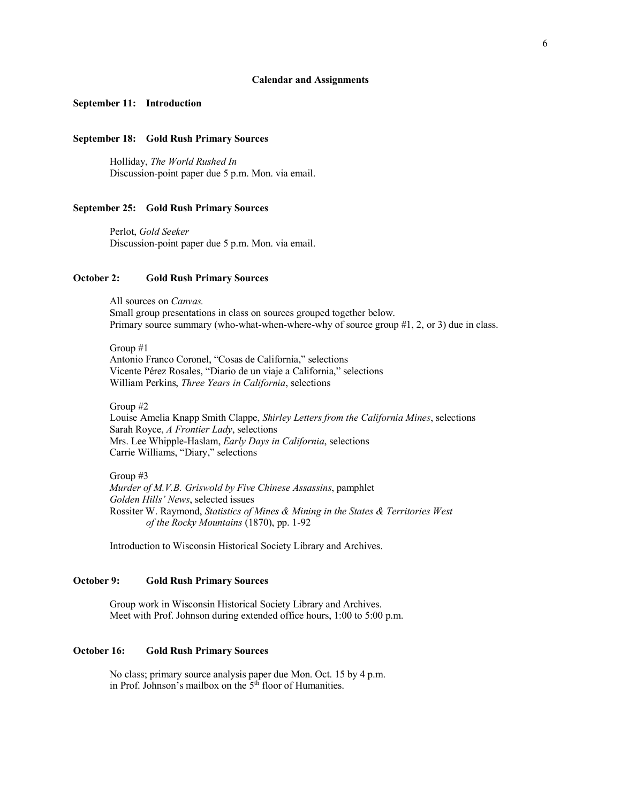#### **Calendar and Assignments**

#### **September 11: Introduction**

## **September 18: Gold Rush Primary Sources**

Holliday, *The World Rushed In* Discussion-point paper due 5 p.m. Mon. via email.

#### **September 25: Gold Rush Primary Sources**

Perlot, *Gold Seeker* Discussion-point paper due 5 p.m. Mon. via email.

## **October 2: Gold Rush Primary Sources**

All sources on *Canvas.* Small group presentations in class on sources grouped together below. Primary source summary (who-what-when-where-why of source group #1, 2, or 3) due in class.

Group #1 Antonio Franco Coronel, "Cosas de California," selections Vicente Pérez Rosales, "Diario de un viaje a California," selections William Perkins, *Three Years in California*, selections

Group #2

Louise Amelia Knapp Smith Clappe, *Shirley Letters from the California Mines*, selections Sarah Royce, *A Frontier Lady*, selections Mrs. Lee Whipple-Haslam, *Early Days in California*, selections Carrie Williams, "Diary," selections

Group #3

*Murder of M.V.B. Griswold by Five Chinese Assassins*, pamphlet *Golden Hills' News*, selected issues Rossiter W. Raymond, *Statistics of Mines & Mining in the States & Territories West of the Rocky Mountains* (1870), pp. 1-92

Introduction to Wisconsin Historical Society Library and Archives.

## **October 9: Gold Rush Primary Sources**

Group work in Wisconsin Historical Society Library and Archives. Meet with Prof. Johnson during extended office hours, 1:00 to 5:00 p.m.

# **October 16: Gold Rush Primary Sources**

No class; primary source analysis paper due Mon. Oct. 15 by 4 p.m. in Prof. Johnson's mailbox on the 5<sup>th</sup> floor of Humanities.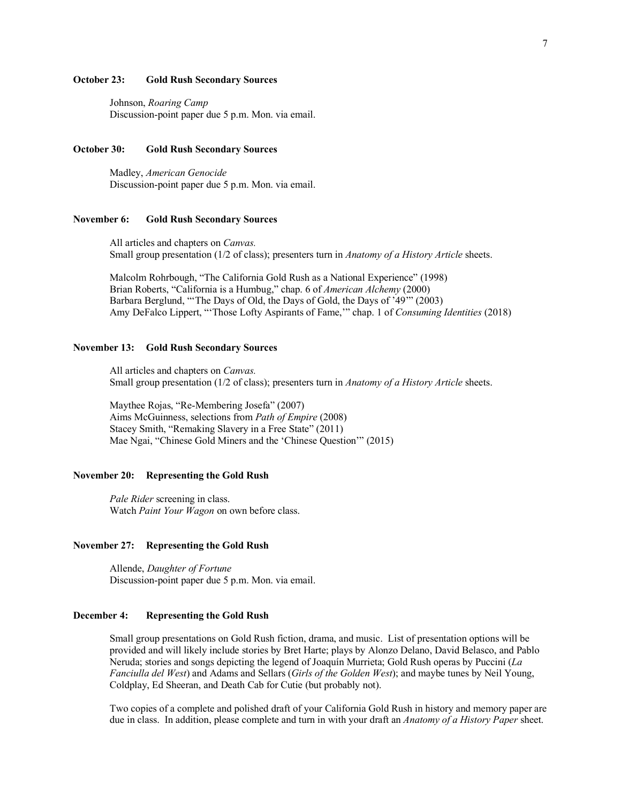## **October 23: Gold Rush Secondary Sources**

Johnson, *Roaring Camp* Discussion-point paper due 5 p.m. Mon. via email.

## **October 30: Gold Rush Secondary Sources**

Madley, *American Genocide* Discussion-point paper due 5 p.m. Mon. via email.

## **November 6: Gold Rush Secondary Sources**

All articles and chapters on *Canvas.* Small group presentation (1/2 of class); presenters turn in *Anatomy of a History Article* sheets.

Malcolm Rohrbough, "The California Gold Rush as a National Experience" (1998) Brian Roberts, "California is a Humbug," chap. 6 of *American Alchemy* (2000) Barbara Berglund, "'The Days of Old, the Days of Gold, the Days of '49'" (2003) Amy DeFalco Lippert, "'Those Lofty Aspirants of Fame,'" chap. 1 of *Consuming Identities* (2018)

### **November 13: Gold Rush Secondary Sources**

All articles and chapters on *Canvas.* Small group presentation (1/2 of class); presenters turn in *Anatomy of a History Article* sheets.

Maythee Rojas, "Re-Membering Josefa" (2007) Aims McGuinness, selections from *Path of Empire* (2008) Stacey Smith, "Remaking Slavery in a Free State" (2011) Mae Ngai, "Chinese Gold Miners and the 'Chinese Question'" (2015)

### **November 20: Representing the Gold Rush**

*Pale Rider* screening in class. Watch *Paint Your Wagon* on own before class.

## **November 27: Representing the Gold Rush**

Allende, *Daughter of Fortune* Discussion-point paper due 5 p.m. Mon. via email.

# **December 4: Representing the Gold Rush**

Small group presentations on Gold Rush fiction, drama, and music. List of presentation options will be provided and will likely include stories by Bret Harte; plays by Alonzo Delano, David Belasco, and Pablo Neruda; stories and songs depicting the legend of Joaquín Murrieta; Gold Rush operas by Puccini (*La Fanciulla del West*) and Adams and Sellars (*Girls of the Golden West*); and maybe tunes by Neil Young, Coldplay, Ed Sheeran, and Death Cab for Cutie (but probably not).

Two copies of a complete and polished draft of your California Gold Rush in history and memory paper are due in class. In addition, please complete and turn in with your draft an *Anatomy of a History Paper* sheet.